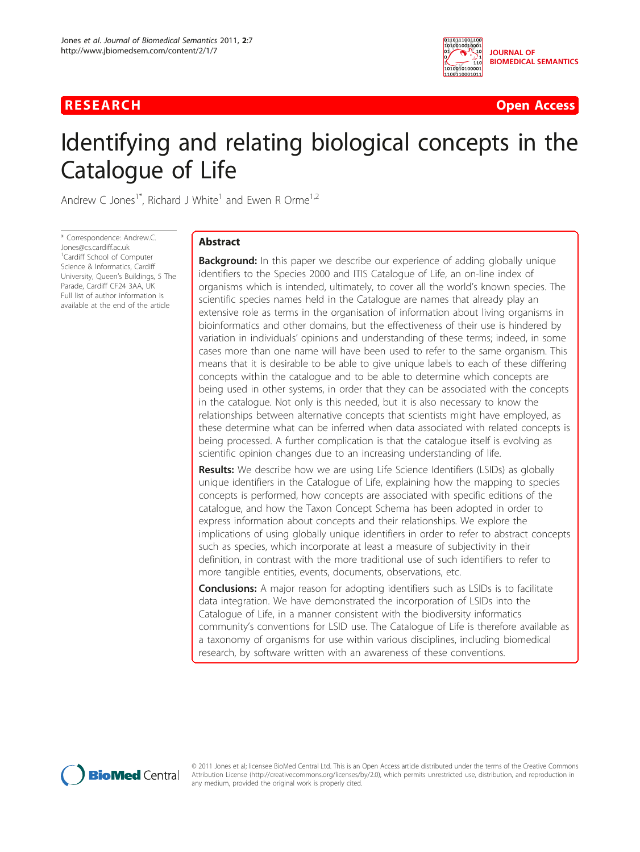

RESEARCH **CONTRACTES IN A CONTRACTE OF ACCESS** 

# Identifying and relating biological concepts in the Catalogue of Life

Andrew C Jones<sup>1\*</sup>, Richard J White<sup>1</sup> and Ewen R Orme<sup>1,2</sup>

\* Correspondence: [Andrew.C.](mailto:Andrew.C.Jones@cs.cardiff.ac.uk) [Jones@cs.cardiff.ac.uk](mailto:Andrew.C.Jones@cs.cardiff.ac.uk) <sup>1</sup>Cardiff School of Computer Science & Informatics, Cardiff University, Queen's Buildings, 5 The Parade, Cardiff CF24 3AA, UK Full list of author information is available at the end of the article

# Abstract

**Background:** In this paper we describe our experience of adding globally unique identifiers to the Species 2000 and ITIS Catalogue of Life, an on-line index of organisms which is intended, ultimately, to cover all the world's known species. The scientific species names held in the Catalogue are names that already play an extensive role as terms in the organisation of information about living organisms in bioinformatics and other domains, but the effectiveness of their use is hindered by variation in individuals' opinions and understanding of these terms; indeed, in some cases more than one name will have been used to refer to the same organism. This means that it is desirable to be able to give unique labels to each of these differing concepts within the catalogue and to be able to determine which concepts are being used in other systems, in order that they can be associated with the concepts in the catalogue. Not only is this needed, but it is also necessary to know the relationships between alternative concepts that scientists might have employed, as these determine what can be inferred when data associated with related concepts is being processed. A further complication is that the catalogue itself is evolving as scientific opinion changes due to an increasing understanding of life.

**Results:** We describe how we are using Life Science Identifiers (LSIDs) as globally unique identifiers in the Catalogue of Life, explaining how the mapping to species concepts is performed, how concepts are associated with specific editions of the catalogue, and how the Taxon Concept Schema has been adopted in order to express information about concepts and their relationships. We explore the implications of using globally unique identifiers in order to refer to abstract concepts such as species, which incorporate at least a measure of subjectivity in their definition, in contrast with the more traditional use of such identifiers to refer to more tangible entities, events, documents, observations, etc.

**Conclusions:** A major reason for adopting identifiers such as LSIDs is to facilitate data integration. We have demonstrated the incorporation of LSIDs into the Catalogue of Life, in a manner consistent with the biodiversity informatics community's conventions for LSID use. The Catalogue of Life is therefore available as a taxonomy of organisms for use within various disciplines, including biomedical research, by software written with an awareness of these conventions.



© 2011 Jones et al; licensee BioMed Central Ltd. This is an Open Access article distributed under the terms of the Creative Commons Attribution License [\(http://creativecommons.org/licenses/by/2.0](http://creativecommons.org/licenses/by/2.0)), which permits unrestricted use, distribution, and reproduction in any medium, provided the original work is properly cited.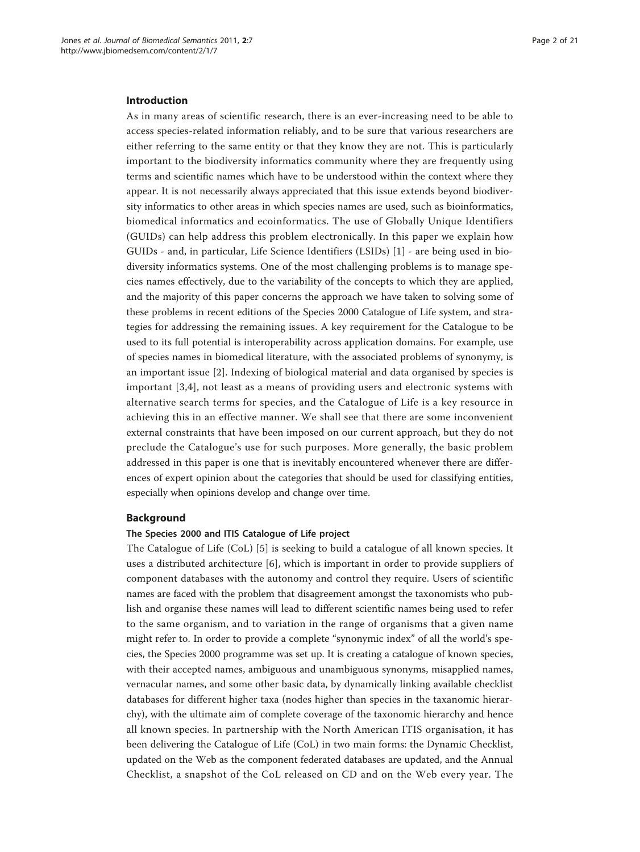# Introduction

As in many areas of scientific research, there is an ever-increasing need to be able to access species-related information reliably, and to be sure that various researchers are either referring to the same entity or that they know they are not. This is particularly important to the biodiversity informatics community where they are frequently using terms and scientific names which have to be understood within the context where they appear. It is not necessarily always appreciated that this issue extends beyond biodiversity informatics to other areas in which species names are used, such as bioinformatics, biomedical informatics and ecoinformatics. The use of Globally Unique Identifiers (GUIDs) can help address this problem electronically. In this paper we explain how GUIDs - and, in particular, Life Science Identifiers (LSIDs) [[1](#page-19-0)] - are being used in biodiversity informatics systems. One of the most challenging problems is to manage species names effectively, due to the variability of the concepts to which they are applied, and the majority of this paper concerns the approach we have taken to solving some of these problems in recent editions of the Species 2000 Catalogue of Life system, and strategies for addressing the remaining issues. A key requirement for the Catalogue to be used to its full potential is interoperability across application domains. For example, use of species names in biomedical literature, with the associated problems of synonymy, is an important issue [\[2\]](#page-19-0). Indexing of biological material and data organised by species is important [[3](#page-19-0),[4\]](#page-19-0), not least as a means of providing users and electronic systems with alternative search terms for species, and the Catalogue of Life is a key resource in achieving this in an effective manner. We shall see that there are some inconvenient external constraints that have been imposed on our current approach, but they do not preclude the Catalogue's use for such purposes. More generally, the basic problem addressed in this paper is one that is inevitably encountered whenever there are differences of expert opinion about the categories that should be used for classifying entities, especially when opinions develop and change over time.

# Background

### The Species 2000 and ITIS Catalogue of Life project

The Catalogue of Life (CoL) [[5\]](#page-19-0) is seeking to build a catalogue of all known species. It uses a distributed architecture [[6\]](#page-19-0), which is important in order to provide suppliers of component databases with the autonomy and control they require. Users of scientific names are faced with the problem that disagreement amongst the taxonomists who publish and organise these names will lead to different scientific names being used to refer to the same organism, and to variation in the range of organisms that a given name might refer to. In order to provide a complete "synonymic index" of all the world's species, the Species 2000 programme was set up. It is creating a catalogue of known species, with their accepted names, ambiguous and unambiguous synonyms, misapplied names, vernacular names, and some other basic data, by dynamically linking available checklist databases for different higher taxa (nodes higher than species in the taxanomic hierarchy), with the ultimate aim of complete coverage of the taxonomic hierarchy and hence all known species. In partnership with the North American ITIS organisation, it has been delivering the Catalogue of Life (CoL) in two main forms: the Dynamic Checklist, updated on the Web as the component federated databases are updated, and the Annual Checklist, a snapshot of the CoL released on CD and on the Web every year. The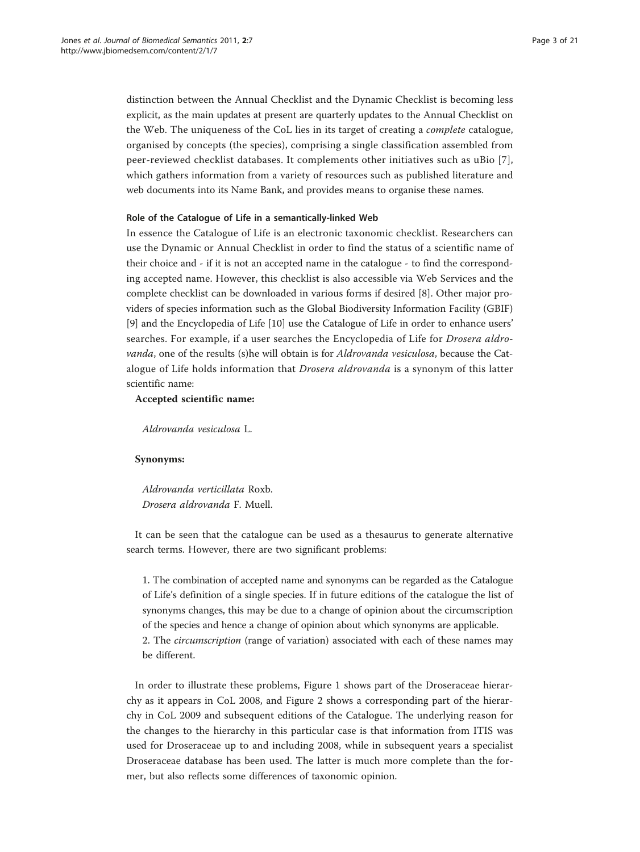distinction between the Annual Checklist and the Dynamic Checklist is becoming less explicit, as the main updates at present are quarterly updates to the Annual Checklist on the Web. The uniqueness of the CoL lies in its target of creating a complete catalogue, organised by concepts (the species), comprising a single classification assembled from peer-reviewed checklist databases. It complements other initiatives such as uBio [[7](#page-19-0)], which gathers information from a variety of resources such as published literature and web documents into its Name Bank, and provides means to organise these names.

# Role of the Catalogue of Life in a semantically-linked Web

In essence the Catalogue of Life is an electronic taxonomic checklist. Researchers can use the Dynamic or Annual Checklist in order to find the status of a scientific name of their choice and - if it is not an accepted name in the catalogue - to find the corresponding accepted name. However, this checklist is also accessible via Web Services and the complete checklist can be downloaded in various forms if desired [[8\]](#page-19-0). Other major providers of species information such as the Global Biodiversity Information Facility (GBIF) [[9\]](#page-19-0) and the Encyclopedia of Life [[10\]](#page-19-0) use the Catalogue of Life in order to enhance users' searches. For example, if a user searches the Encyclopedia of Life for Drosera aldrovanda, one of the results (s)he will obtain is for Aldrovanda vesiculosa, because the Catalogue of Life holds information that *Drosera aldrovanda* is a synonym of this latter scientific name:

# Accepted scientific name:

Aldrovanda vesiculosa L.

# Synonyms:

Aldrovanda verticillata Roxb. Drosera aldrovanda F. Muell.

It can be seen that the catalogue can be used as a thesaurus to generate alternative search terms. However, there are two significant problems:

1. The combination of accepted name and synonyms can be regarded as the Catalogue of Life's definition of a single species. If in future editions of the catalogue the list of synonyms changes, this may be due to a change of opinion about the circumscription of the species and hence a change of opinion about which synonyms are applicable. 2. The circumscription (range of variation) associated with each of these names may be different.

In order to illustrate these problems, Figure [1](#page-3-0) shows part of the Droseraceae hierarchy as it appears in CoL 2008, and Figure [2](#page-3-0) shows a corresponding part of the hierarchy in CoL 2009 and subsequent editions of the Catalogue. The underlying reason for the changes to the hierarchy in this particular case is that information from ITIS was used for Droseraceae up to and including 2008, while in subsequent years a specialist Droseraceae database has been used. The latter is much more complete than the former, but also reflects some differences of taxonomic opinion.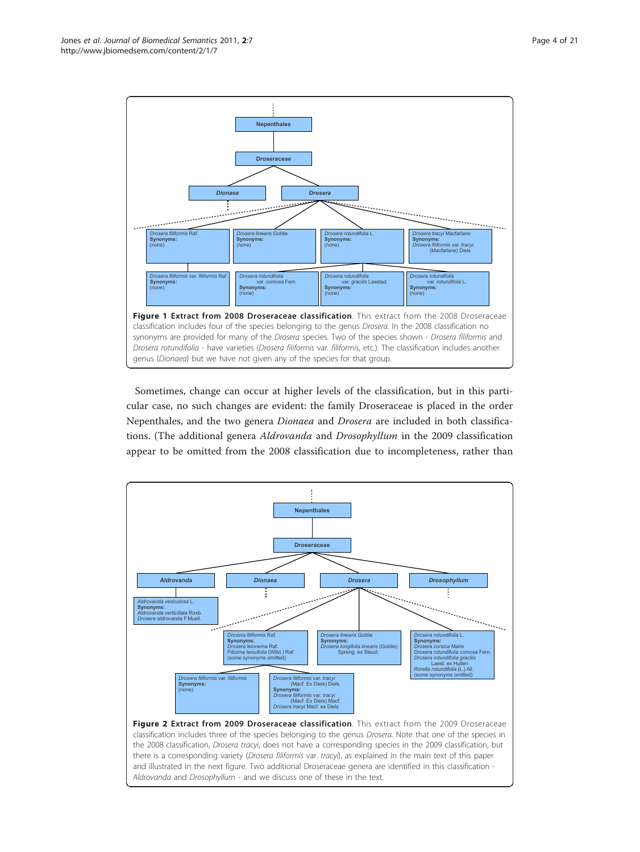<span id="page-3-0"></span>

Sometimes, change can occur at higher levels of the classification, but in this particular case, no such changes are evident: the family Droseraceae is placed in the order Nepenthales, and the two genera Dionaea and Drosera are included in both classifications. (The additional genera Aldrovanda and Drosophyllum in the 2009 classification appear to be omitted from the 2008 classification due to incompleteness, rather than

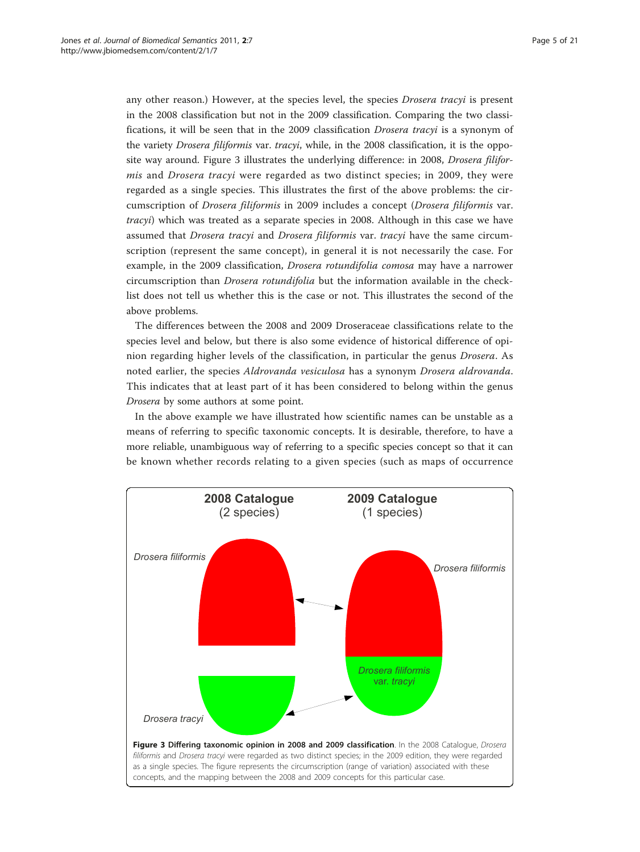any other reason.) However, at the species level, the species Drosera tracyi is present in the 2008 classification but not in the 2009 classification. Comparing the two classifications, it will be seen that in the 2009 classification Drosera tracyi is a synonym of the variety *Drosera filiformis* var. *tracyi*, while, in the 2008 classification, it is the opposite way around. Figure 3 illustrates the underlying difference: in 2008, Drosera filiformis and Drosera tracyi were regarded as two distinct species; in 2009, they were regarded as a single species. This illustrates the first of the above problems: the circumscription of Drosera filiformis in 2009 includes a concept (Drosera filiformis var. *tracyi*) which was treated as a separate species in 2008. Although in this case we have assumed that Drosera tracyi and Drosera filiformis var. tracyi have the same circumscription (represent the same concept), in general it is not necessarily the case. For example, in the 2009 classification, Drosera rotundifolia comosa may have a narrower circumscription than Drosera rotundifolia but the information available in the checklist does not tell us whether this is the case or not. This illustrates the second of the above problems.

The differences between the 2008 and 2009 Droseraceae classifications relate to the species level and below, but there is also some evidence of historical difference of opinion regarding higher levels of the classification, in particular the genus Drosera. As noted earlier, the species Aldrovanda vesiculosa has a synonym Drosera aldrovanda. This indicates that at least part of it has been considered to belong within the genus Drosera by some authors at some point.

In the above example we have illustrated how scientific names can be unstable as a means of referring to specific taxonomic concepts. It is desirable, therefore, to have a more reliable, unambiguous way of referring to a specific species concept so that it can be known whether records relating to a given species (such as maps of occurrence

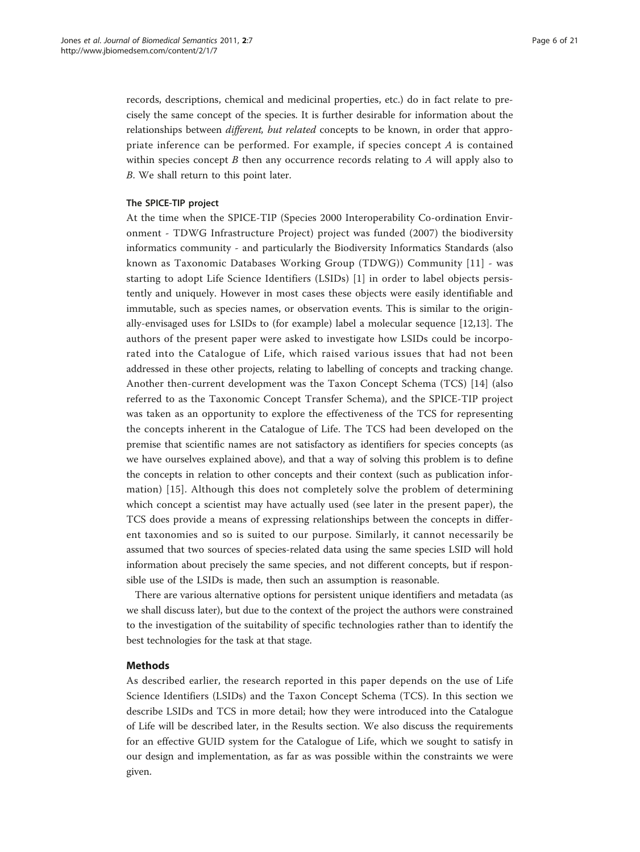records, descriptions, chemical and medicinal properties, etc.) do in fact relate to precisely the same concept of the species. It is further desirable for information about the relationships between different, but related concepts to be known, in order that appropriate inference can be performed. For example, if species concept A is contained within species concept  $B$  then any occurrence records relating to  $A$  will apply also to B. We shall return to this point later.

# The SPICE-TIP project

At the time when the SPICE-TIP (Species 2000 Interoperability Co-ordination Environment - TDWG Infrastructure Project) project was funded (2007) the biodiversity informatics community - and particularly the Biodiversity Informatics Standards (also known as Taxonomic Databases Working Group (TDWG)) Community [\[11\]](#page-19-0) - was starting to adopt Life Science Identifiers (LSIDs) [[1](#page-19-0)] in order to label objects persistently and uniquely. However in most cases these objects were easily identifiable and immutable, such as species names, or observation events. This is similar to the originally-envisaged uses for LSIDs to (for example) label a molecular sequence [[12,13\]](#page-19-0). The authors of the present paper were asked to investigate how LSIDs could be incorporated into the Catalogue of Life, which raised various issues that had not been addressed in these other projects, relating to labelling of concepts and tracking change. Another then-current development was the Taxon Concept Schema (TCS) [\[14\]](#page-19-0) (also referred to as the Taxonomic Concept Transfer Schema), and the SPICE-TIP project was taken as an opportunity to explore the effectiveness of the TCS for representing the concepts inherent in the Catalogue of Life. The TCS had been developed on the premise that scientific names are not satisfactory as identifiers for species concepts (as we have ourselves explained above), and that a way of solving this problem is to define the concepts in relation to other concepts and their context (such as publication information) [[15](#page-20-0)]. Although this does not completely solve the problem of determining which concept a scientist may have actually used (see later in the present paper), the TCS does provide a means of expressing relationships between the concepts in different taxonomies and so is suited to our purpose. Similarly, it cannot necessarily be assumed that two sources of species-related data using the same species LSID will hold information about precisely the same species, and not different concepts, but if responsible use of the LSIDs is made, then such an assumption is reasonable.

There are various alternative options for persistent unique identifiers and metadata (as we shall discuss later), but due to the context of the project the authors were constrained to the investigation of the suitability of specific technologies rather than to identify the best technologies for the task at that stage.

# Methods

As described earlier, the research reported in this paper depends on the use of Life Science Identifiers (LSIDs) and the Taxon Concept Schema (TCS). In this section we describe LSIDs and TCS in more detail; how they were introduced into the Catalogue of Life will be described later, in the Results section. We also discuss the requirements for an effective GUID system for the Catalogue of Life, which we sought to satisfy in our design and implementation, as far as was possible within the constraints we were given.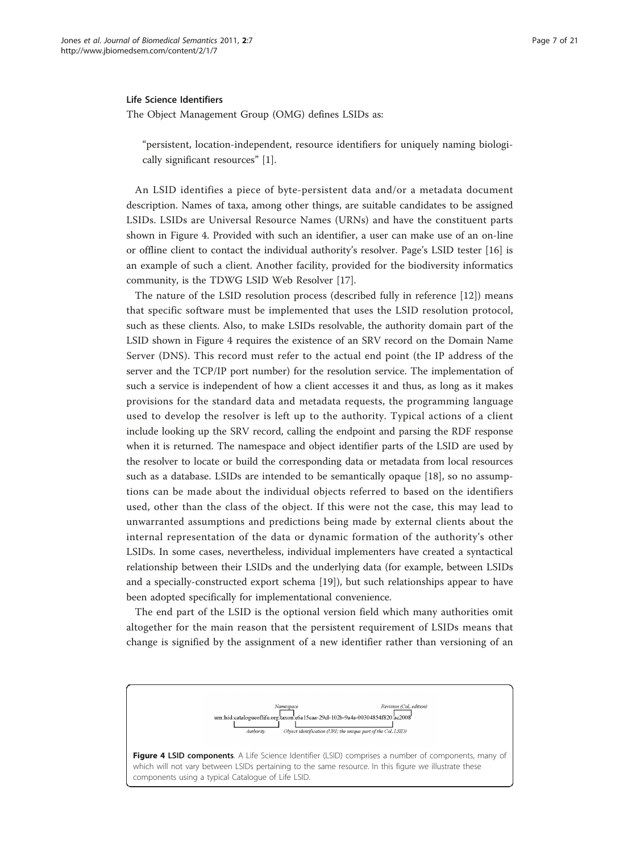# <span id="page-6-0"></span>Life Science Identifiers

The Object Management Group (OMG) defines LSIDs as:

"persistent, location-independent, resource identifiers for uniquely naming biologically significant resources" [\[1](#page-19-0)].

An LSID identifies a piece of byte-persistent data and/or a metadata document description. Names of taxa, among other things, are suitable candidates to be assigned LSIDs. LSIDs are Universal Resource Names (URNs) and have the constituent parts shown in Figure 4. Provided with such an identifier, a user can make use of an on-line or offline client to contact the individual authority's resolver. Page's LSID tester [[16\]](#page-20-0) is an example of such a client. Another facility, provided for the biodiversity informatics community, is the TDWG LSID Web Resolver [\[17](#page-20-0)].

The nature of the LSID resolution process (described fully in reference [\[12](#page-19-0)]) means that specific software must be implemented that uses the LSID resolution protocol, such as these clients. Also, to make LSIDs resolvable, the authority domain part of the LSID shown in Figure 4 requires the existence of an SRV record on the Domain Name Server (DNS). This record must refer to the actual end point (the IP address of the server and the TCP/IP port number) for the resolution service. The implementation of such a service is independent of how a client accesses it and thus, as long as it makes provisions for the standard data and metadata requests, the programming language used to develop the resolver is left up to the authority. Typical actions of a client include looking up the SRV record, calling the endpoint and parsing the RDF response when it is returned. The namespace and object identifier parts of the LSID are used by the resolver to locate or build the corresponding data or metadata from local resources such as a database. LSIDs are intended to be semantically opaque [\[18](#page-20-0)], so no assumptions can be made about the individual objects referred to based on the identifiers used, other than the class of the object. If this were not the case, this may lead to unwarranted assumptions and predictions being made by external clients about the internal representation of the data or dynamic formation of the authority's other LSIDs. In some cases, nevertheless, individual implementers have created a syntactical relationship between their LSIDs and the underlying data (for example, between LSIDs and a specially-constructed export schema [\[19\]](#page-20-0)), but such relationships appear to have been adopted specifically for implementational convenience.

The end part of the LSID is the optional version field which many authorities omit altogether for the main reason that the persistent requirement of LSIDs means that change is signified by the assignment of a new identifier rather than versioning of an

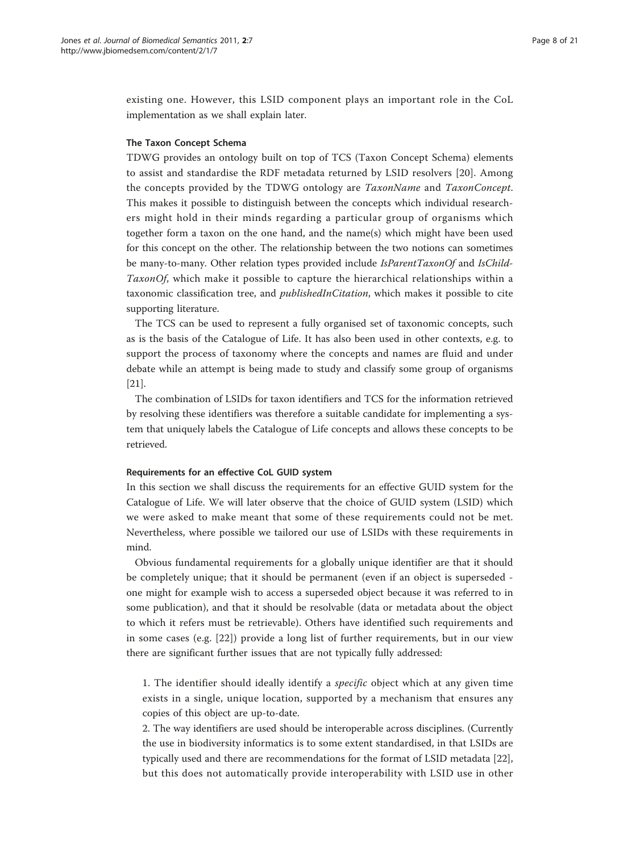existing one. However, this LSID component plays an important role in the CoL implementation as we shall explain later.

# The Taxon Concept Schema

TDWG provides an ontology built on top of TCS (Taxon Concept Schema) elements to assist and standardise the RDF metadata returned by LSID resolvers [[20\]](#page-20-0). Among the concepts provided by the TDWG ontology are TaxonName and TaxonConcept. This makes it possible to distinguish between the concepts which individual researchers might hold in their minds regarding a particular group of organisms which together form a taxon on the one hand, and the name(s) which might have been used for this concept on the other. The relationship between the two notions can sometimes be many-to-many. Other relation types provided include *IsParentTaxonOf* and *IsChild-*TaxonOf, which make it possible to capture the hierarchical relationships within a taxonomic classification tree, and publishedInCitation, which makes it possible to cite supporting literature.

The TCS can be used to represent a fully organised set of taxonomic concepts, such as is the basis of the Catalogue of Life. It has also been used in other contexts, e.g. to support the process of taxonomy where the concepts and names are fluid and under debate while an attempt is being made to study and classify some group of organisms [[21\]](#page-20-0).

The combination of LSIDs for taxon identifiers and TCS for the information retrieved by resolving these identifiers was therefore a suitable candidate for implementing a system that uniquely labels the Catalogue of Life concepts and allows these concepts to be retrieved.

# Requirements for an effective CoL GUID system

In this section we shall discuss the requirements for an effective GUID system for the Catalogue of Life. We will later observe that the choice of GUID system (LSID) which we were asked to make meant that some of these requirements could not be met. Nevertheless, where possible we tailored our use of LSIDs with these requirements in mind.

Obvious fundamental requirements for a globally unique identifier are that it should be completely unique; that it should be permanent (even if an object is superseded one might for example wish to access a superseded object because it was referred to in some publication), and that it should be resolvable (data or metadata about the object to which it refers must be retrievable). Others have identified such requirements and in some cases (e.g. [[22](#page-20-0)]) provide a long list of further requirements, but in our view there are significant further issues that are not typically fully addressed:

1. The identifier should ideally identify a specific object which at any given time exists in a single, unique location, supported by a mechanism that ensures any copies of this object are up-to-date.

2. The way identifiers are used should be interoperable across disciplines. (Currently the use in biodiversity informatics is to some extent standardised, in that LSIDs are typically used and there are recommendations for the format of LSID metadata [[22](#page-20-0)], but this does not automatically provide interoperability with LSID use in other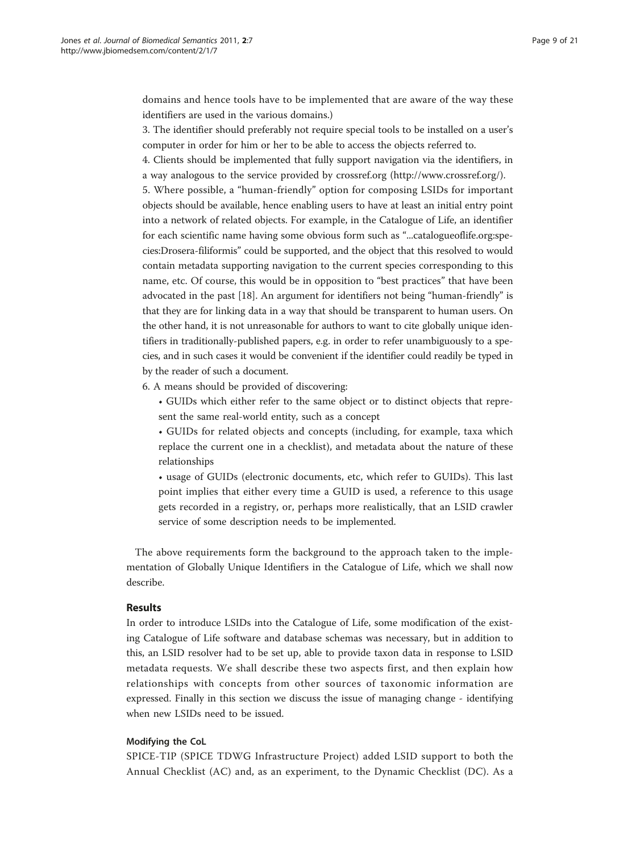domains and hence tools have to be implemented that are aware of the way these identifiers are used in the various domains.)

3. The identifier should preferably not require special tools to be installed on a user's computer in order for him or her to be able to access the objects referred to.

4. Clients should be implemented that fully support navigation via the identifiers, in a way analogous to the service provided by crossref.org [\(http://www.crossref.org/\)](http://www.crossref.org/).

5. Where possible, a "human-friendly" option for composing LSIDs for important objects should be available, hence enabling users to have at least an initial entry point into a network of related objects. For example, in the Catalogue of Life, an identifier for each scientific name having some obvious form such as "...catalogueoflife.org:species:Drosera-filiformis" could be supported, and the object that this resolved to would contain metadata supporting navigation to the current species corresponding to this name, etc. Of course, this would be in opposition to "best practices" that have been advocated in the past [[18\]](#page-20-0). An argument for identifiers not being "human-friendly" is that they are for linking data in a way that should be transparent to human users. On the other hand, it is not unreasonable for authors to want to cite globally unique identifiers in traditionally-published papers, e.g. in order to refer unambiguously to a species, and in such cases it would be convenient if the identifier could readily be typed in by the reader of such a document.

6. A means should be provided of discovering:

• GUIDs which either refer to the same object or to distinct objects that represent the same real-world entity, such as a concept

• GUIDs for related objects and concepts (including, for example, taxa which replace the current one in a checklist), and metadata about the nature of these relationships

• usage of GUIDs (electronic documents, etc, which refer to GUIDs). This last point implies that either every time a GUID is used, a reference to this usage gets recorded in a registry, or, perhaps more realistically, that an LSID crawler service of some description needs to be implemented.

The above requirements form the background to the approach taken to the implementation of Globally Unique Identifiers in the Catalogue of Life, which we shall now describe.

# Results

In order to introduce LSIDs into the Catalogue of Life, some modification of the existing Catalogue of Life software and database schemas was necessary, but in addition to this, an LSID resolver had to be set up, able to provide taxon data in response to LSID metadata requests. We shall describe these two aspects first, and then explain how relationships with concepts from other sources of taxonomic information are expressed. Finally in this section we discuss the issue of managing change - identifying when new LSIDs need to be issued.

# Modifying the CoL

SPICE-TIP (SPICE TDWG Infrastructure Project) added LSID support to both the Annual Checklist (AC) and, as an experiment, to the Dynamic Checklist (DC). As a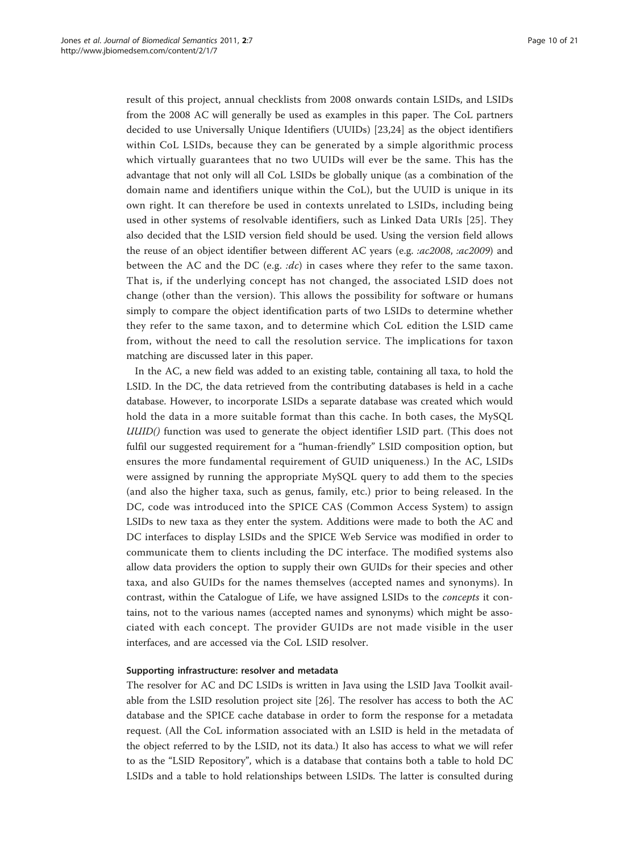result of this project, annual checklists from 2008 onwards contain LSIDs, and LSIDs from the 2008 AC will generally be used as examples in this paper. The CoL partners decided to use Universally Unique Identifiers (UUIDs) [[23](#page-20-0),[24\]](#page-20-0) as the object identifiers within CoL LSIDs, because they can be generated by a simple algorithmic process which virtually guarantees that no two UUIDs will ever be the same. This has the advantage that not only will all CoL LSIDs be globally unique (as a combination of the domain name and identifiers unique within the CoL), but the UUID is unique in its own right. It can therefore be used in contexts unrelated to LSIDs, including being used in other systems of resolvable identifiers, such as Linked Data URIs [\[25](#page-20-0)]. They also decided that the LSID version field should be used. Using the version field allows the reuse of an object identifier between different AC years (e.g. :ac2008, :ac2009) and between the AC and the DC (e.g.  $:dc$ ) in cases where they refer to the same taxon. That is, if the underlying concept has not changed, the associated LSID does not change (other than the version). This allows the possibility for software or humans simply to compare the object identification parts of two LSIDs to determine whether they refer to the same taxon, and to determine which CoL edition the LSID came from, without the need to call the resolution service. The implications for taxon matching are discussed later in this paper.

In the AC, a new field was added to an existing table, containing all taxa, to hold the LSID. In the DC, the data retrieved from the contributing databases is held in a cache database. However, to incorporate LSIDs a separate database was created which would hold the data in a more suitable format than this cache. In both cases, the MySQL UUID() function was used to generate the object identifier LSID part. (This does not fulfil our suggested requirement for a "human-friendly" LSID composition option, but ensures the more fundamental requirement of GUID uniqueness.) In the AC, LSIDs were assigned by running the appropriate MySQL query to add them to the species (and also the higher taxa, such as genus, family, etc.) prior to being released. In the DC, code was introduced into the SPICE CAS (Common Access System) to assign LSIDs to new taxa as they enter the system. Additions were made to both the AC and DC interfaces to display LSIDs and the SPICE Web Service was modified in order to communicate them to clients including the DC interface. The modified systems also allow data providers the option to supply their own GUIDs for their species and other taxa, and also GUIDs for the names themselves (accepted names and synonyms). In contrast, within the Catalogue of Life, we have assigned LSIDs to the concepts it contains, not to the various names (accepted names and synonyms) which might be associated with each concept. The provider GUIDs are not made visible in the user interfaces, and are accessed via the CoL LSID resolver.

# Supporting infrastructure: resolver and metadata

The resolver for AC and DC LSIDs is written in Java using the LSID Java Toolkit available from the LSID resolution project site [[26](#page-20-0)]. The resolver has access to both the AC database and the SPICE cache database in order to form the response for a metadata request. (All the CoL information associated with an LSID is held in the metadata of the object referred to by the LSID, not its data.) It also has access to what we will refer to as the "LSID Repository", which is a database that contains both a table to hold DC LSIDs and a table to hold relationships between LSIDs. The latter is consulted during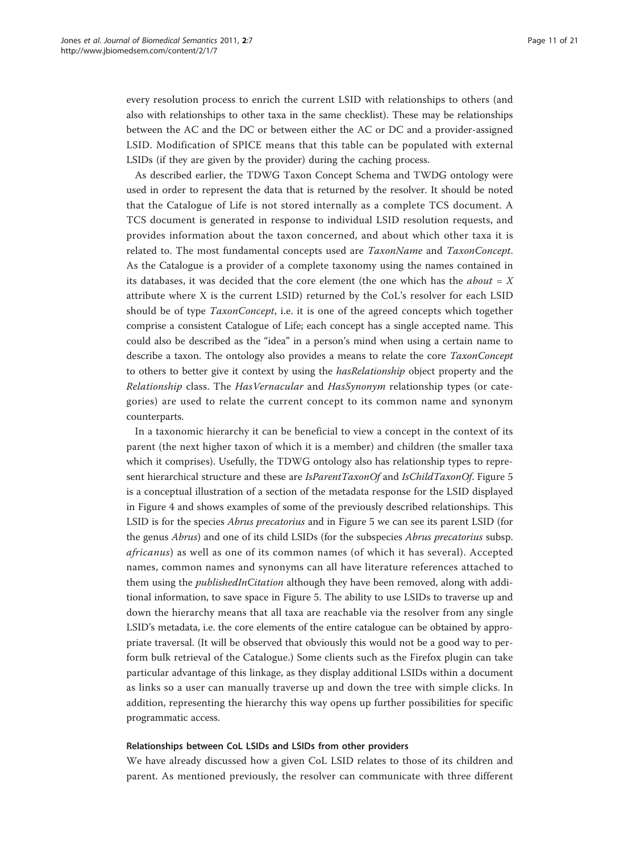every resolution process to enrich the current LSID with relationships to others (and also with relationships to other taxa in the same checklist). These may be relationships between the AC and the DC or between either the AC or DC and a provider-assigned LSID. Modification of SPICE means that this table can be populated with external LSIDs (if they are given by the provider) during the caching process.

As described earlier, the TDWG Taxon Concept Schema and TWDG ontology were used in order to represent the data that is returned by the resolver. It should be noted that the Catalogue of Life is not stored internally as a complete TCS document. A TCS document is generated in response to individual LSID resolution requests, and provides information about the taxon concerned, and about which other taxa it is related to. The most fundamental concepts used are TaxonName and TaxonConcept. As the Catalogue is a provider of a complete taxonomy using the names contained in its databases, it was decided that the core element (the one which has the *about* =  $X$ attribute where X is the current LSID) returned by the CoL's resolver for each LSID should be of type TaxonConcept, i.e. it is one of the agreed concepts which together comprise a consistent Catalogue of Life; each concept has a single accepted name. This could also be described as the "idea" in a person's mind when using a certain name to describe a taxon. The ontology also provides a means to relate the core *TaxonConcept* to others to better give it context by using the *hasRelationship* object property and the Relationship class. The HasVernacular and HasSynonym relationship types (or categories) are used to relate the current concept to its common name and synonym counterparts.

In a taxonomic hierarchy it can be beneficial to view a concept in the context of its parent (the next higher taxon of which it is a member) and children (the smaller taxa which it comprises). Usefully, the TDWG ontology also has relationship types to represent hierarchical structure and these are *IsParentTaxonOf* and *IsChildTaxonOf*. Figure [5](#page-11-0) is a conceptual illustration of a section of the metadata response for the LSID displayed in Figure [4](#page-6-0) and shows examples of some of the previously described relationships. This LSID is for the species Abrus precatorius and in Figure [5](#page-11-0) we can see its parent LSID (for the genus Abrus) and one of its child LSIDs (for the subspecies Abrus precatorius subsp. africanus) as well as one of its common names (of which it has several). Accepted names, common names and synonyms can all have literature references attached to them using the *publishedInCitation* although they have been removed, along with additional information, to save space in Figure [5](#page-11-0). The ability to use LSIDs to traverse up and down the hierarchy means that all taxa are reachable via the resolver from any single LSID's metadata, i.e. the core elements of the entire catalogue can be obtained by appropriate traversal. (It will be observed that obviously this would not be a good way to perform bulk retrieval of the Catalogue.) Some clients such as the Firefox plugin can take particular advantage of this linkage, as they display additional LSIDs within a document as links so a user can manually traverse up and down the tree with simple clicks. In addition, representing the hierarchy this way opens up further possibilities for specific programmatic access.

#### Relationships between CoL LSIDs and LSIDs from other providers

We have already discussed how a given CoL LSID relates to those of its children and parent. As mentioned previously, the resolver can communicate with three different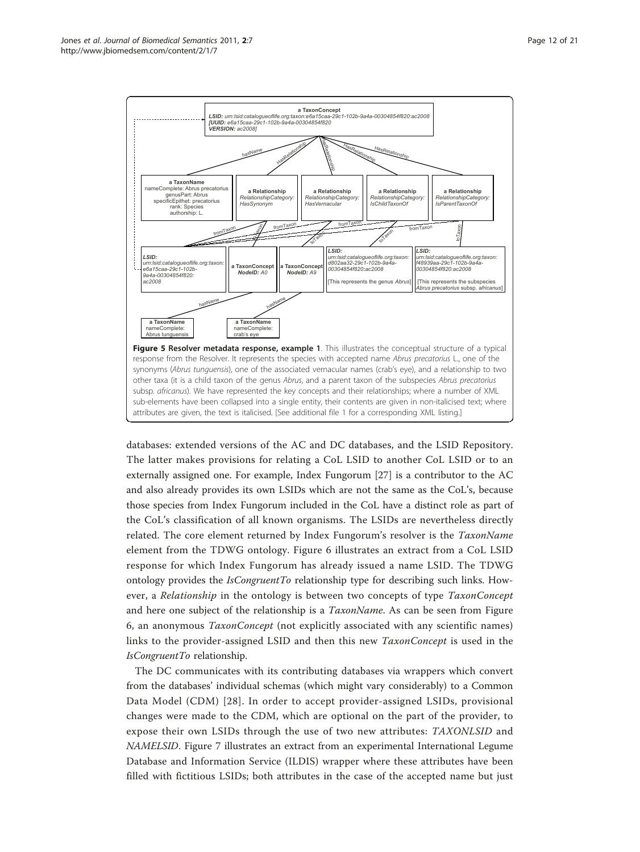<span id="page-11-0"></span>

databases: extended versions of the AC and DC databases, and the LSID Repository. The latter makes provisions for relating a CoL LSID to another CoL LSID or to an externally assigned one. For example, Index Fungorum [[27\]](#page-20-0) is a contributor to the AC and also already provides its own LSIDs which are not the same as the CoL's, because those species from Index Fungorum included in the CoL have a distinct role as part of the CoL's classification of all known organisms. The LSIDs are nevertheless directly related. The core element returned by Index Fungorum's resolver is the TaxonName element from the TDWG ontology. Figure [6](#page-12-0) illustrates an extract from a CoL LSID response for which Index Fungorum has already issued a name LSID. The TDWG ontology provides the IsCongruentTo relationship type for describing such links. However, a *Relationship* in the ontology is between two concepts of type *TaxonConcept* and here one subject of the relationship is a *TaxonName*. As can be seen from Figure [6,](#page-12-0) an anonymous TaxonConcept (not explicitly associated with any scientific names) links to the provider-assigned LSID and then this new TaxonConcept is used in the IsCongruentTo relationship.

The DC communicates with its contributing databases via wrappers which convert from the databases' individual schemas (which might vary considerably) to a Common Data Model (CDM) [[28\]](#page-20-0). In order to accept provider-assigned LSIDs, provisional changes were made to the CDM, which are optional on the part of the provider, to expose their own LSIDs through the use of two new attributes: TAXONLSID and NAMELSID. Figure [7](#page-12-0) illustrates an extract from an experimental International Legume Database and Information Service (ILDIS) wrapper where these attributes have been filled with fictitious LSIDs; both attributes in the case of the accepted name but just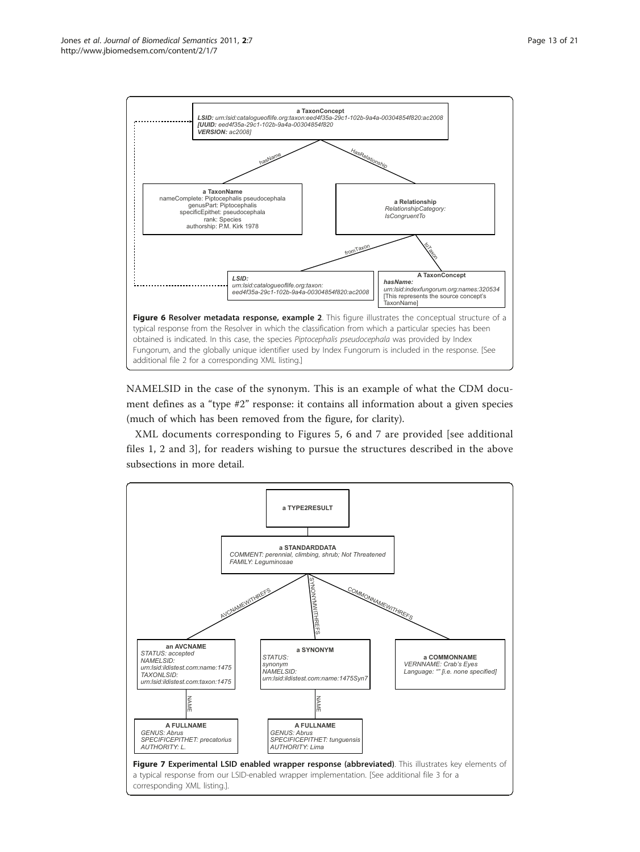<span id="page-12-0"></span>

NAMELSID in the case of the synonym. This is an example of what the CDM document defines as a "type #2" response: it contains all information about a given species (much of which has been removed from the figure, for clarity).

XML documents corresponding to Figures [5,](#page-11-0) 6 and 7 are provided [see additional files [1](#page-18-0), [2](#page-19-0) and [3](#page-19-0)], for readers wishing to pursue the structures described in the above subsections in more detail.

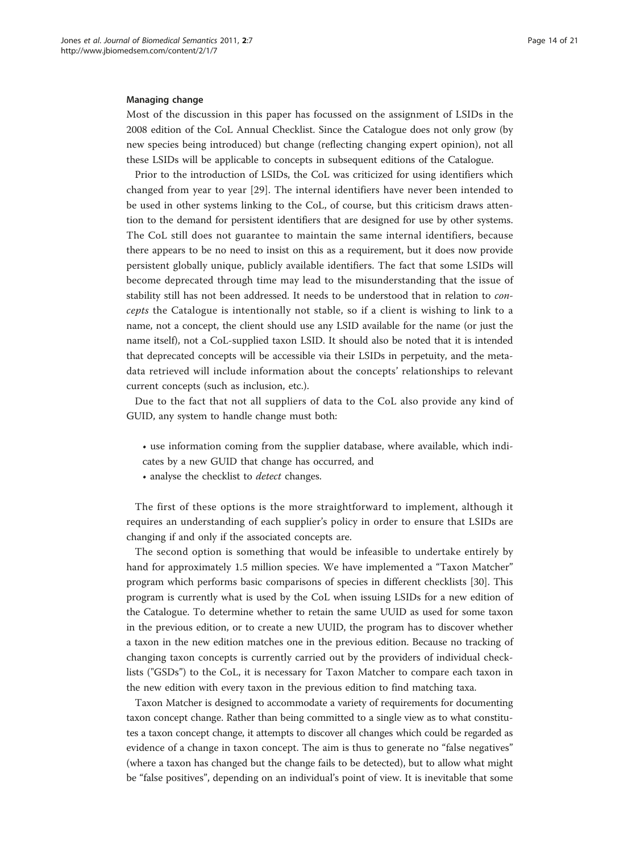## Managing change

Most of the discussion in this paper has focussed on the assignment of LSIDs in the 2008 edition of the CoL Annual Checklist. Since the Catalogue does not only grow (by new species being introduced) but change (reflecting changing expert opinion), not all these LSIDs will be applicable to concepts in subsequent editions of the Catalogue.

Prior to the introduction of LSIDs, the CoL was criticized for using identifiers which changed from year to year [\[29](#page-20-0)]. The internal identifiers have never been intended to be used in other systems linking to the CoL, of course, but this criticism draws attention to the demand for persistent identifiers that are designed for use by other systems. The CoL still does not guarantee to maintain the same internal identifiers, because there appears to be no need to insist on this as a requirement, but it does now provide persistent globally unique, publicly available identifiers. The fact that some LSIDs will become deprecated through time may lead to the misunderstanding that the issue of stability still has not been addressed. It needs to be understood that in relation to concepts the Catalogue is intentionally not stable, so if a client is wishing to link to a name, not a concept, the client should use any LSID available for the name (or just the name itself), not a CoL-supplied taxon LSID. It should also be noted that it is intended that deprecated concepts will be accessible via their LSIDs in perpetuity, and the metadata retrieved will include information about the concepts' relationships to relevant current concepts (such as inclusion, etc.).

Due to the fact that not all suppliers of data to the CoL also provide any kind of GUID, any system to handle change must both:

- use information coming from the supplier database, where available, which indi-
- cates by a new GUID that change has occurred, and
- analyse the checklist to *detect* changes.

The first of these options is the more straightforward to implement, although it requires an understanding of each supplier's policy in order to ensure that LSIDs are changing if and only if the associated concepts are.

The second option is something that would be infeasible to undertake entirely by hand for approximately 1.5 million species. We have implemented a "Taxon Matcher" program which performs basic comparisons of species in different checklists [[30\]](#page-20-0). This program is currently what is used by the CoL when issuing LSIDs for a new edition of the Catalogue. To determine whether to retain the same UUID as used for some taxon in the previous edition, or to create a new UUID, the program has to discover whether a taxon in the new edition matches one in the previous edition. Because no tracking of changing taxon concepts is currently carried out by the providers of individual checklists ("GSDs") to the CoL, it is necessary for Taxon Matcher to compare each taxon in the new edition with every taxon in the previous edition to find matching taxa.

Taxon Matcher is designed to accommodate a variety of requirements for documenting taxon concept change. Rather than being committed to a single view as to what constitutes a taxon concept change, it attempts to discover all changes which could be regarded as evidence of a change in taxon concept. The aim is thus to generate no "false negatives" (where a taxon has changed but the change fails to be detected), but to allow what might be "false positives", depending on an individual's point of view. It is inevitable that some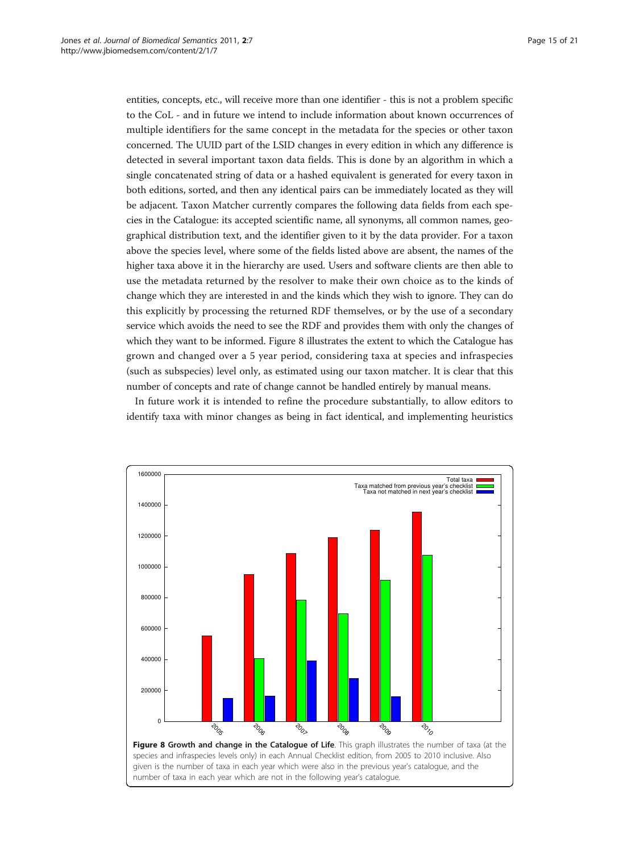entities, concepts, etc., will receive more than one identifier - this is not a problem specific to the CoL - and in future we intend to include information about known occurrences of multiple identifiers for the same concept in the metadata for the species or other taxon concerned. The UUID part of the LSID changes in every edition in which any difference is detected in several important taxon data fields. This is done by an algorithm in which a single concatenated string of data or a hashed equivalent is generated for every taxon in both editions, sorted, and then any identical pairs can be immediately located as they will be adjacent. Taxon Matcher currently compares the following data fields from each species in the Catalogue: its accepted scientific name, all synonyms, all common names, geographical distribution text, and the identifier given to it by the data provider. For a taxon above the species level, where some of the fields listed above are absent, the names of the higher taxa above it in the hierarchy are used. Users and software clients are then able to use the metadata returned by the resolver to make their own choice as to the kinds of change which they are interested in and the kinds which they wish to ignore. They can do this explicitly by processing the returned RDF themselves, or by the use of a secondary service which avoids the need to see the RDF and provides them with only the changes of which they want to be informed. Figure 8 illustrates the extent to which the Catalogue has grown and changed over a 5 year period, considering taxa at species and infraspecies (such as subspecies) level only, as estimated using our taxon matcher. It is clear that this number of concepts and rate of change cannot be handled entirely by manual means.

In future work it is intended to refine the procedure substantially, to allow editors to identify taxa with minor changes as being in fact identical, and implementing heuristics

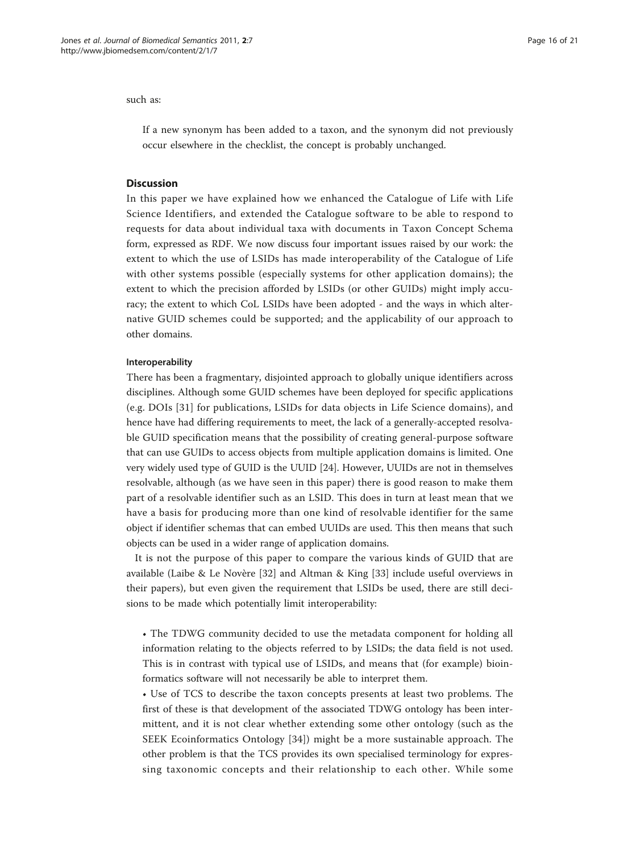If a new synonym has been added to a taxon, and the synonym did not previously occur elsewhere in the checklist, the concept is probably unchanged.

# **Discussion**

In this paper we have explained how we enhanced the Catalogue of Life with Life Science Identifiers, and extended the Catalogue software to be able to respond to requests for data about individual taxa with documents in Taxon Concept Schema form, expressed as RDF. We now discuss four important issues raised by our work: the extent to which the use of LSIDs has made interoperability of the Catalogue of Life with other systems possible (especially systems for other application domains); the extent to which the precision afforded by LSIDs (or other GUIDs) might imply accuracy; the extent to which CoL LSIDs have been adopted - and the ways in which alternative GUID schemes could be supported; and the applicability of our approach to other domains.

# Interoperability

There has been a fragmentary, disjointed approach to globally unique identifiers across disciplines. Although some GUID schemes have been deployed for specific applications (e.g. DOIs [[31](#page-20-0)] for publications, LSIDs for data objects in Life Science domains), and hence have had differing requirements to meet, the lack of a generally-accepted resolvable GUID specification means that the possibility of creating general-purpose software that can use GUIDs to access objects from multiple application domains is limited. One very widely used type of GUID is the UUID [[24\]](#page-20-0). However, UUIDs are not in themselves resolvable, although (as we have seen in this paper) there is good reason to make them part of a resolvable identifier such as an LSID. This does in turn at least mean that we have a basis for producing more than one kind of resolvable identifier for the same object if identifier schemas that can embed UUIDs are used. This then means that such objects can be used in a wider range of application domains.

It is not the purpose of this paper to compare the various kinds of GUID that are available (Laibe & Le Novère [\[32](#page-20-0)] and Altman & King [\[33](#page-20-0)] include useful overviews in their papers), but even given the requirement that LSIDs be used, there are still decisions to be made which potentially limit interoperability:

• The TDWG community decided to use the metadata component for holding all information relating to the objects referred to by LSIDs; the data field is not used. This is in contrast with typical use of LSIDs, and means that (for example) bioinformatics software will not necessarily be able to interpret them.

• Use of TCS to describe the taxon concepts presents at least two problems. The first of these is that development of the associated TDWG ontology has been intermittent, and it is not clear whether extending some other ontology (such as the SEEK Ecoinformatics Ontology [[34\]](#page-20-0)) might be a more sustainable approach. The other problem is that the TCS provides its own specialised terminology for expressing taxonomic concepts and their relationship to each other. While some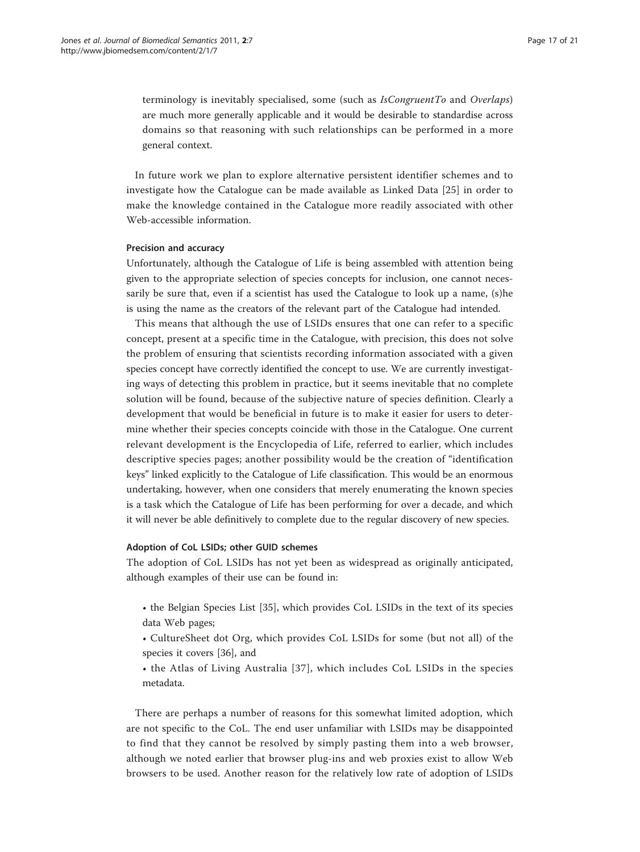terminology is inevitably specialised, some (such as *IsCongruentTo* and *Overlaps*) are much more generally applicable and it would be desirable to standardise across domains so that reasoning with such relationships can be performed in a more general context.

In future work we plan to explore alternative persistent identifier schemes and to investigate how the Catalogue can be made available as Linked Data [[25\]](#page-20-0) in order to make the knowledge contained in the Catalogue more readily associated with other Web-accessible information.

# Precision and accuracy

Unfortunately, although the Catalogue of Life is being assembled with attention being given to the appropriate selection of species concepts for inclusion, one cannot necessarily be sure that, even if a scientist has used the Catalogue to look up a name, (s)he is using the name as the creators of the relevant part of the Catalogue had intended.

This means that although the use of LSIDs ensures that one can refer to a specific concept, present at a specific time in the Catalogue, with precision, this does not solve the problem of ensuring that scientists recording information associated with a given species concept have correctly identified the concept to use. We are currently investigating ways of detecting this problem in practice, but it seems inevitable that no complete solution will be found, because of the subjective nature of species definition. Clearly a development that would be beneficial in future is to make it easier for users to determine whether their species concepts coincide with those in the Catalogue. One current relevant development is the Encyclopedia of Life, referred to earlier, which includes descriptive species pages; another possibility would be the creation of "identification keys" linked explicitly to the Catalogue of Life classification. This would be an enormous undertaking, however, when one considers that merely enumerating the known species is a task which the Catalogue of Life has been performing for over a decade, and which it will never be able definitively to complete due to the regular discovery of new species.

# Adoption of CoL LSIDs; other GUID schemes

The adoption of CoL LSIDs has not yet been as widespread as originally anticipated, although examples of their use can be found in:

- the Belgian Species List [[35](#page-20-0)], which provides CoL LSIDs in the text of its species data Web pages;
- CultureSheet dot Org, which provides CoL LSIDs for some (but not all) of the species it covers [\[36](#page-20-0)], and
- the Atlas of Living Australia [[37](#page-20-0)], which includes CoL LSIDs in the species metadata.

There are perhaps a number of reasons for this somewhat limited adoption, which are not specific to the CoL. The end user unfamiliar with LSIDs may be disappointed to find that they cannot be resolved by simply pasting them into a web browser, although we noted earlier that browser plug-ins and web proxies exist to allow Web browsers to be used. Another reason for the relatively low rate of adoption of LSIDs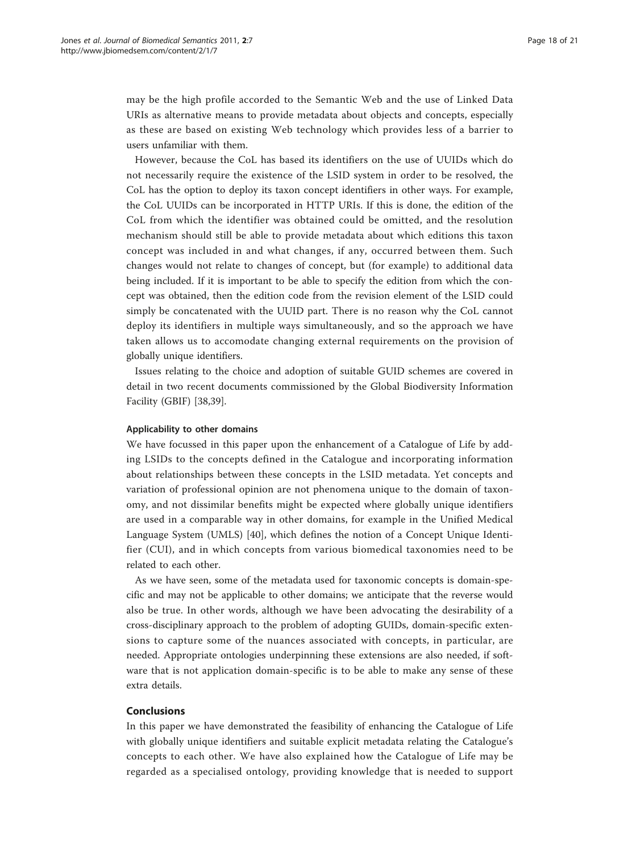may be the high profile accorded to the Semantic Web and the use of Linked Data URIs as alternative means to provide metadata about objects and concepts, especially as these are based on existing Web technology which provides less of a barrier to users unfamiliar with them.

However, because the CoL has based its identifiers on the use of UUIDs which do not necessarily require the existence of the LSID system in order to be resolved, the CoL has the option to deploy its taxon concept identifiers in other ways. For example, the CoL UUIDs can be incorporated in HTTP URIs. If this is done, the edition of the CoL from which the identifier was obtained could be omitted, and the resolution mechanism should still be able to provide metadata about which editions this taxon concept was included in and what changes, if any, occurred between them. Such changes would not relate to changes of concept, but (for example) to additional data being included. If it is important to be able to specify the edition from which the concept was obtained, then the edition code from the revision element of the LSID could simply be concatenated with the UUID part. There is no reason why the CoL cannot deploy its identifiers in multiple ways simultaneously, and so the approach we have taken allows us to accomodate changing external requirements on the provision of globally unique identifiers.

Issues relating to the choice and adoption of suitable GUID schemes are covered in detail in two recent documents commissioned by the Global Biodiversity Information Facility (GBIF) [[38,39\]](#page-20-0).

# Applicability to other domains

We have focussed in this paper upon the enhancement of a Catalogue of Life by adding LSIDs to the concepts defined in the Catalogue and incorporating information about relationships between these concepts in the LSID metadata. Yet concepts and variation of professional opinion are not phenomena unique to the domain of taxonomy, and not dissimilar benefits might be expected where globally unique identifiers are used in a comparable way in other domains, for example in the Unified Medical Language System (UMLS) [[40\]](#page-20-0), which defines the notion of a Concept Unique Identifier (CUI), and in which concepts from various biomedical taxonomies need to be related to each other.

As we have seen, some of the metadata used for taxonomic concepts is domain-specific and may not be applicable to other domains; we anticipate that the reverse would also be true. In other words, although we have been advocating the desirability of a cross-disciplinary approach to the problem of adopting GUIDs, domain-specific extensions to capture some of the nuances associated with concepts, in particular, are needed. Appropriate ontologies underpinning these extensions are also needed, if software that is not application domain-specific is to be able to make any sense of these extra details.

# Conclusions

In this paper we have demonstrated the feasibility of enhancing the Catalogue of Life with globally unique identifiers and suitable explicit metadata relating the Catalogue's concepts to each other. We have also explained how the Catalogue of Life may be regarded as a specialised ontology, providing knowledge that is needed to support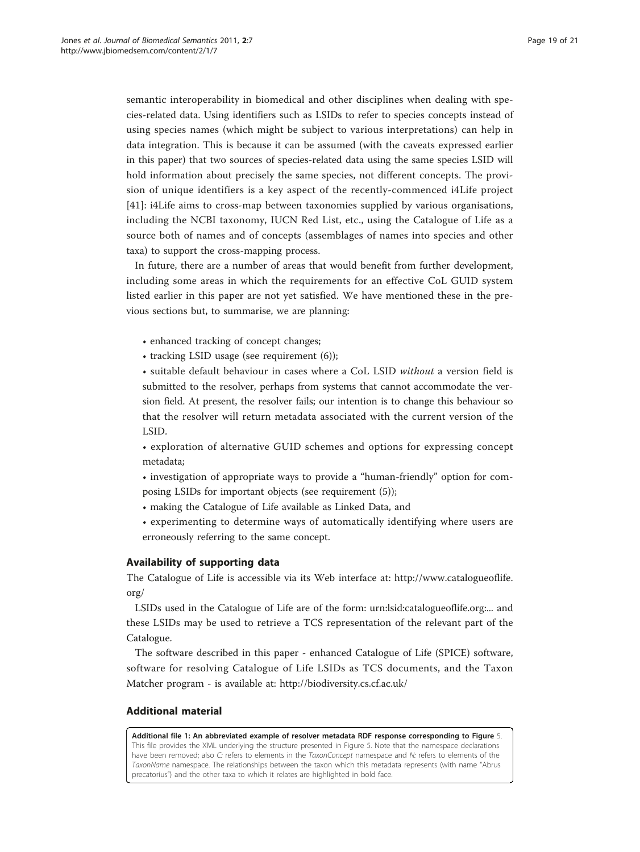<span id="page-18-0"></span>semantic interoperability in biomedical and other disciplines when dealing with species-related data. Using identifiers such as LSIDs to refer to species concepts instead of using species names (which might be subject to various interpretations) can help in data integration. This is because it can be assumed (with the caveats expressed earlier in this paper) that two sources of species-related data using the same species LSID will hold information about precisely the same species, not different concepts. The provision of unique identifiers is a key aspect of the recently-commenced i4Life project [[41\]](#page-20-0): i4Life aims to cross-map between taxonomies supplied by various organisations, including the NCBI taxonomy, IUCN Red List, etc., using the Catalogue of Life as a source both of names and of concepts (assemblages of names into species and other taxa) to support the cross-mapping process.

In future, there are a number of areas that would benefit from further development, including some areas in which the requirements for an effective CoL GUID system listed earlier in this paper are not yet satisfied. We have mentioned these in the previous sections but, to summarise, we are planning:

- enhanced tracking of concept changes;
- tracking LSID usage (see requirement (6));

• suitable default behaviour in cases where a CoL LSID without a version field is submitted to the resolver, perhaps from systems that cannot accommodate the version field. At present, the resolver fails; our intention is to change this behaviour so that the resolver will return metadata associated with the current version of the LSID.

• exploration of alternative GUID schemes and options for expressing concept metadata;

• investigation of appropriate ways to provide a "human-friendly" option for composing LSIDs for important objects (see requirement (5));

- making the Catalogue of Life available as Linked Data, and
- experimenting to determine ways of automatically identifying where users are erroneously referring to the same concept.

# Availability of supporting data

The Catalogue of Life is accessible via its Web interface at: [http://www.catalogueoflife.](http://www.catalogueoflife.org/) [org/](http://www.catalogueoflife.org/)

LSIDs used in the Catalogue of Life are of the form: urn:lsid:catalogueoflife.org:... and these LSIDs may be used to retrieve a TCS representation of the relevant part of the Catalogue.

The software described in this paper - enhanced Catalogue of Life (SPICE) software, software for resolving Catalogue of Life LSIDs as TCS documents, and the Taxon Matcher program - is available at:<http://biodiversity.cs.cf.ac.uk/>

# Additional material

[Additional file 1: A](http://www.biomedcentral.com/content/supplementary/2041-1480-2-7-S1.PDF)n abbreviated example of resolver metadata RDF response corresponding to Figure [5](#page-11-0). This file provides the XML underlying the structure presented in Figure [5](#page-11-0). Note that the namespace declarations have been removed; also C: refers to elements in the TaxonConcept namespace and N: refers to elements of the TaxonName namespace. The relationships between the taxon which this metadata represents (with name "Abrus precatorius") and the other taxa to which it relates are highlighted in bold face.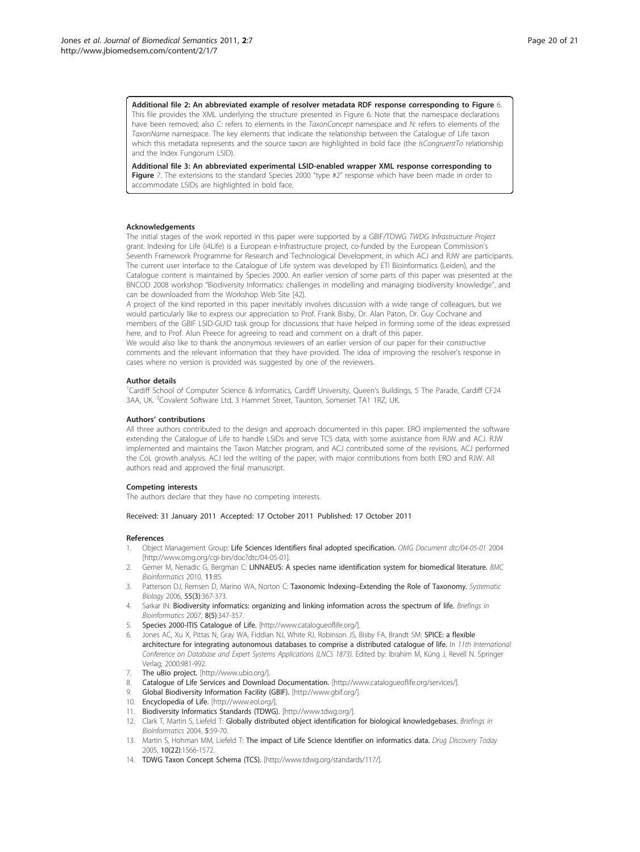<span id="page-19-0"></span>[Additional file 2: A](http://www.biomedcentral.com/content/supplementary/2041-1480-2-7-S2.PDF)n abbreviated example of resolver metadata RDF response corresponding to Figure [6](#page-12-0). This file provides the XML underlying the structure presented in Figure [6](#page-12-0). Note that the namespace declarations have been removed; also C: refers to elements in the TaxonConcept namespace and N: refers to elements of the TaxonName namespace. The key elements that indicate the relationship between the Catalogue of Life taxon which this metadata represents and the source taxon are highlighted in bold face (the IsCongruentTo relationship and the Index Fungorum LSID).

[Additional file 3: A](http://www.biomedcentral.com/content/supplementary/2041-1480-2-7-S3.PDF)n abbreviated experimental LSID-enabled wrapper XML response corresponding to Figure [7](#page-12-0). The extensions to the standard Species 2000 "type #2" response which have been made in order to accommodate LSIDs are highlighted in bold face.

#### Acknowledgements

The initial stages of the work reported in this paper were supported by a GBIF/TDWG TWDG Infrastructure Project grant. Indexing for Life (i4Life) is a European e-Infrastructure project, co-funded by the European Commission's Seventh Framework Programme for Research and Technological Development, in which ACJ and RJW are participants. The current user interface to the Catalogue of Life system was developed by ETI Bioinformatics (Leiden), and the Catalogue content is maintained by Species 2000. An earlier version of some parts of this paper was presented at the BNCOD 2008 workshop "Biodiversity Informatics: challenges in modelling and managing biodiversity knowledge", and can be downloaded from the Workshop Web Site [\[42](#page-20-0)].

A project of the kind reported in this paper inevitably involves discussion with a wide range of colleagues, but we would particularly like to express our appreciation to Prof. Frank Bisby, Dr. Alan Paton, Dr. Guy Cochrane and members of the GBIF LSID-GUID task group for discussions that have helped in forming some of the ideas expressed here, and to Prof. Alun Preece for agreeing to read and comment on a draft of this paper.

We would also like to thank the anonymous reviewers of an earlier version of our paper for their constructive comments and the relevant information that they have provided. The idea of improving the resolver's response in cases where no version is provided was suggested by one of the reviewers.

#### Author details

<sup>1</sup>Cardiff School of Computer Science & Informatics, Cardiff University, Queen's Buildings, 5 The Parade, Cardiff CF24 3AA, UK. <sup>2</sup>Covalent Software Ltd, 3 Hammet Street, Taunton, Somerset TA1 1RZ, UK

#### Authors' contributions

All three authors contributed to the design and approach documented in this paper. ERO implemented the software extending the Catalogue of Life to handle LSIDs and serve TCS data, with some assistance from RJW and ACJ. RJW implemented and maintains the Taxon Matcher program, and ACJ contributed some of the revisions. ACJ performed the CoL growth analysis. ACJ led the writing of the paper, with major contributions from both ERO and RJW. All authors read and approved the final manuscript.

#### Competing interests

The authors declare that they have no competing interests.

Received: 31 January 2011 Accepted: 17 October 2011 Published: 17 October 2011

#### References

- 1. Object Management Group: Life Sciences Identifiers final adopted specification. OMG Document dtc/04-05-01 2004 [\[http://www.omg.org/cgi-bin/doc?dtc/04-05-01\]](http://www.omg.org/cgi-bin/doc?dtc/04-05-01).
- 2. Gerner M, Nenadic G, Bergman C: [LINNAEUS: A species name identification system for biomedical literature.](http://www.ncbi.nlm.nih.gov/pubmed/20149233?dopt=Abstract) BMC Bioinformatics 2010, 11:85.
- 3. Patterson DJ, Remsen D, Marino WA, Norton C: Taxonomic Indexing–[Extending the Role of Taxonomy.](http://www.ncbi.nlm.nih.gov/pubmed/16861205?dopt=Abstract) Systematic Biology 2006, 55(3):367-373.
- 4. Sarkar IN: [Biodiversity informatics: organizing and linking information across the spectrum of life.](http://www.ncbi.nlm.nih.gov/pubmed/17704120?dopt=Abstract) Briefings in Bioinformatics 2007, 8(5):347-357.
- 5. Species 2000-ITIS Catalogue of Life. [\[http://www.catalogueoflife.org/](http://www.catalogueoflife.org/)].
- 6. Jones AC, Xu X, Pittas N, Gray WA, Fiddian NJ, White RJ, Robinson JS, Bisby FA, Brandt SM: SPICE: a flexible architecture for integrating autonomous databases to comprise a distributed catalogue of life. In 11th International Conference on Database and Expert Systems Applications (LNCS 1873). Edited by: Ibrahim M, Küng J, Revell N. Springer Verlag; 2000:981-992.
- 7. The uBio project. [<http://www.ubio.org/>].
- 8. Catalogue of Life Services and Download Documentation. [<http://www.catalogueoflife.org/services/>].
- Global Biodiversity Information Facility (GBIF). [<http://www.gbif.org/>].
- 10. Encyclopedia of Life. [\[http://www.eol.org/\]](http://www.eol.org/).
- 11. Biodiversity Informatics Standards (TDWG). [<http://www.tdwg.org/>].
- 12. Clark T, Martin S, Liefeld T: [Globally distributed object identification for biological knowledgebases.](http://www.ncbi.nlm.nih.gov/pubmed/15153306?dopt=Abstract) Briefings in Bioinformatics 2004, 5:59-70.
- 13. Martin S, Hohman MM, Liefeld T: [The impact of Life Science Identifier on informatics data.](http://www.ncbi.nlm.nih.gov/pubmed/16257380?dopt=Abstract) Drug Discovery Today 2005, 10(22):1566-1572.
- 14. TDWG Taxon Concept Schema (TCS). [<http://www.tdwg.org/standards/117/>].